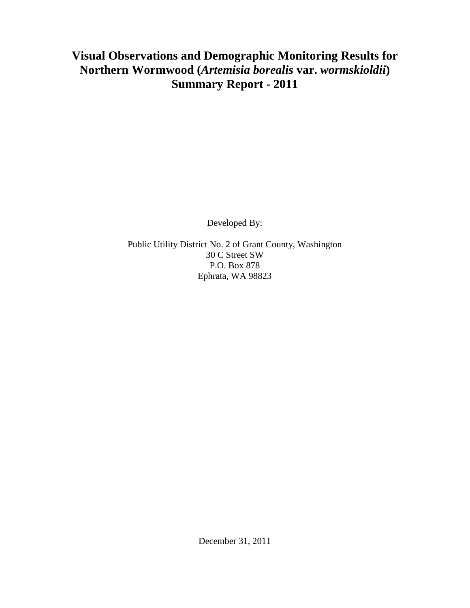## **Visual Observations and Demographic Monitoring Results for Northern Wormwood (***Artemisia borealis* **var.** *wormskioldii***) Summary Report - 2011**

Developed By:

Public Utility District No. 2 of Grant County, Washington 30 C Street SW P.O. Box 878 Ephrata, WA 98823

December 31, 2011